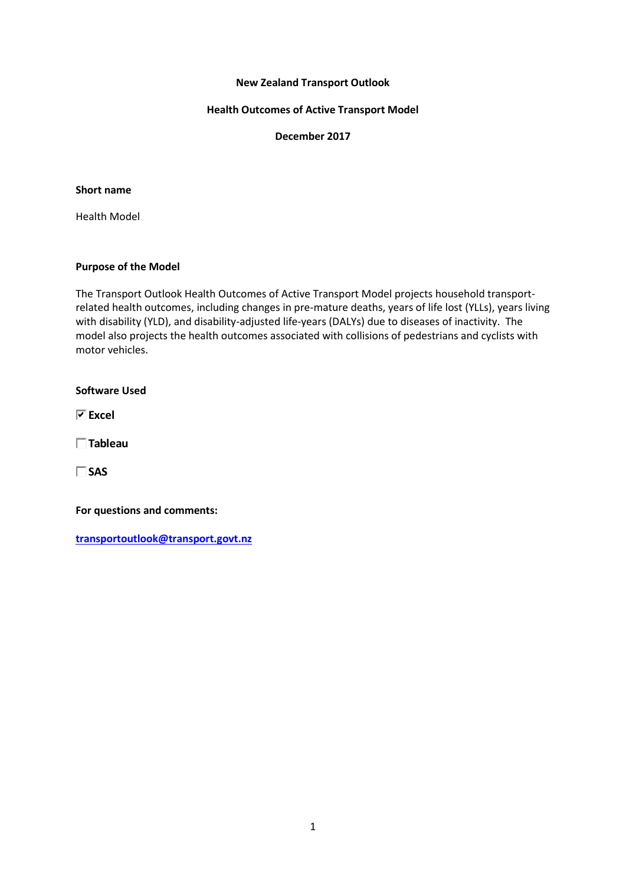### **New Zealand Transport Outlook**

#### **Health Outcomes of Active Transport Model**

**December 2017**

## **Short name**

Health Model

### **Purpose of the Model**

The Transport Outlook Health Outcomes of Active Transport Model projects household transportrelated health outcomes, including changes in pre-mature deaths, years of life lost (YLLs), years living with disability (YLD), and disability-adjusted life-years (DALYs) due to diseases of inactivity. The model also projects the health outcomes associated with collisions of pedestrians and cyclists with motor vehicles.

**Software Used**

**Excel**

**Tableau**

**SAS**

**For questions and comments:** 

**[transportoutlook@transport.govt.nz](mailto:transportoutlook@transport.govt.nz)**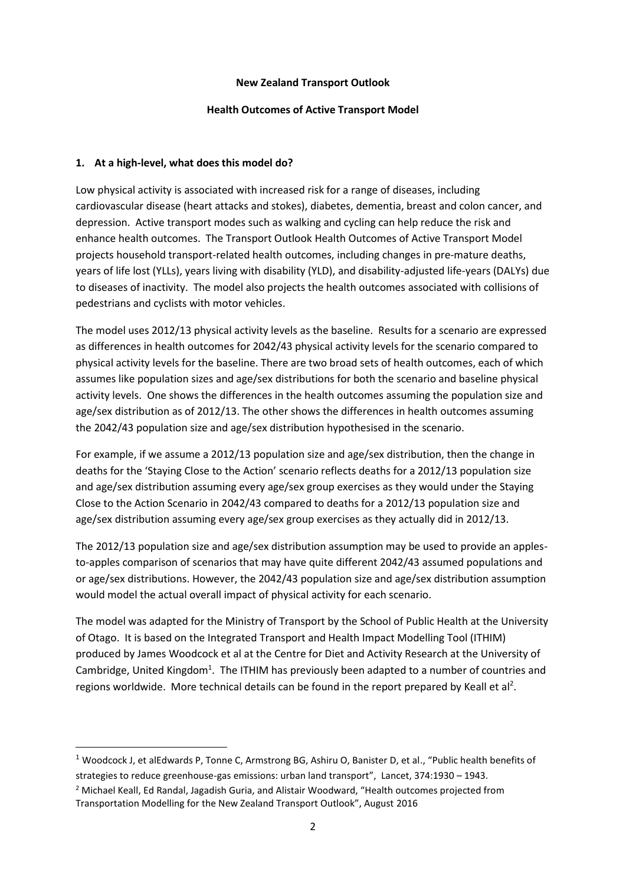### **New Zealand Transport Outlook**

## **Health Outcomes of Active Transport Model**

# **1. At a high-level, what does this model do?**

**.** 

Low physical activity is associated with increased risk for a range of diseases, including cardiovascular disease (heart attacks and stokes), diabetes, dementia, breast and colon cancer, and depression. Active transport modes such as walking and cycling can help reduce the risk and enhance health outcomes. The Transport Outlook Health Outcomes of Active Transport Model projects household transport-related health outcomes, including changes in pre-mature deaths, years of life lost (YLLs), years living with disability (YLD), and disability-adjusted life-years (DALYs) due to diseases of inactivity. The model also projects the health outcomes associated with collisions of pedestrians and cyclists with motor vehicles.

The model uses 2012/13 physical activity levels as the baseline. Results for a scenario are expressed as differences in health outcomes for 2042/43 physical activity levels for the scenario compared to physical activity levels for the baseline. There are two broad sets of health outcomes, each of which assumes like population sizes and age/sex distributions for both the scenario and baseline physical activity levels. One shows the differences in the health outcomes assuming the population size and age/sex distribution as of 2012/13. The other shows the differences in health outcomes assuming the 2042/43 population size and age/sex distribution hypothesised in the scenario.

For example, if we assume a 2012/13 population size and age/sex distribution, then the change in deaths for the 'Staying Close to the Action' scenario reflects deaths for a 2012/13 population size and age/sex distribution assuming every age/sex group exercises as they would under the Staying Close to the Action Scenario in 2042/43 compared to deaths for a 2012/13 population size and age/sex distribution assuming every age/sex group exercises as they actually did in 2012/13.

The 2012/13 population size and age/sex distribution assumption may be used to provide an applesto-apples comparison of scenarios that may have quite different 2042/43 assumed populations and or age/sex distributions. However, the 2042/43 population size and age/sex distribution assumption would model the actual overall impact of physical activity for each scenario.

The model was adapted for the Ministry of Transport by the School of Public Health at the University of Otago. It is based on the Integrated Transport and Health Impact Modelling Tool (ITHIM) produced by James Woodcock et al at the Centre for Diet and Activity Research at the University of Cambridge, United Kingdom<sup>1</sup>. The ITHIM has previously been adapted to a number of countries and regions worldwide. More technical details can be found in the report prepared by Keall et al<sup>2</sup>.

<sup>1</sup> Woodcock J, et alEdwards P, Tonne C, Armstrong BG, Ashiru O, Banister D, et al., "Public health benefits of strategies to reduce greenhouse-gas emissions: urban land transport", Lancet, 374:1930 – 1943. <sup>2</sup> Michael Keall, Ed Randal, Jagadish Guria, and Alistair Woodward, "Health outcomes projected from Transportation Modelling for the New Zealand Transport Outlook", August 2016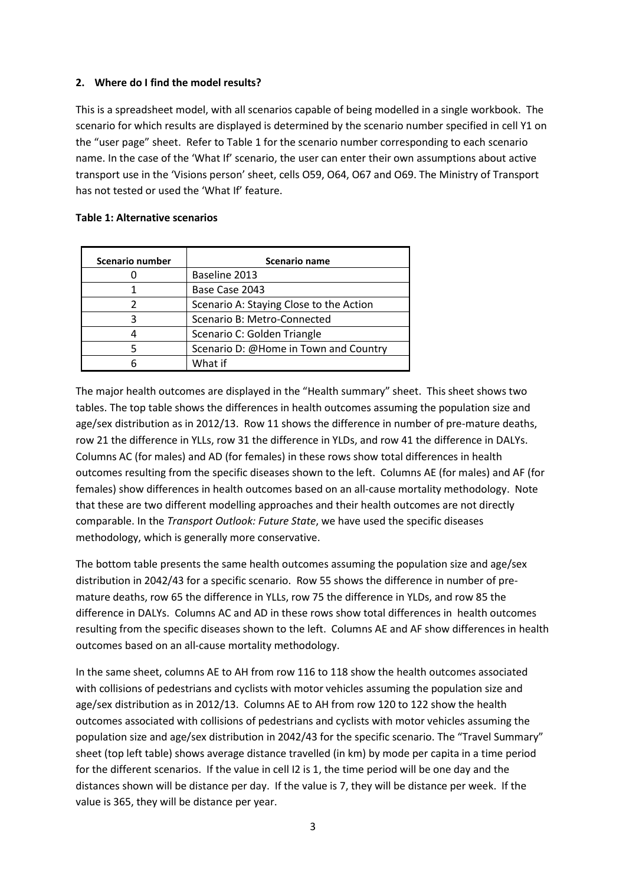# **2. Where do I find the model results?**

This is a spreadsheet model, with all scenarios capable of being modelled in a single workbook. The scenario for which results are displayed is determined by the scenario number specified in cell Y1 on the "user page" sheet. Refer to Table 1 for the scenario number corresponding to each scenario name. In the case of the 'What If' scenario, the user can enter their own assumptions about active transport use in the 'Visions person' sheet, cells O59, O64, O67 and O69. The Ministry of Transport has not tested or used the 'What If' feature.

## **Table 1: Alternative scenarios**

| Scenario number | Scenario name                           |
|-----------------|-----------------------------------------|
|                 | Baseline 2013                           |
|                 | Base Case 2043                          |
|                 | Scenario A: Staying Close to the Action |
| R               | Scenario B: Metro-Connected             |
|                 | Scenario C: Golden Triangle             |
|                 | Scenario D: @Home in Town and Country   |
|                 | What if                                 |

The major health outcomes are displayed in the "Health summary" sheet. This sheet shows two tables. The top table shows the differences in health outcomes assuming the population size and age/sex distribution as in 2012/13. Row 11 shows the difference in number of pre-mature deaths, row 21 the difference in YLLs, row 31 the difference in YLDs, and row 41 the difference in DALYs. Columns AC (for males) and AD (for females) in these rows show total differences in health outcomes resulting from the specific diseases shown to the left. Columns AE (for males) and AF (for females) show differences in health outcomes based on an all-cause mortality methodology. Note that these are two different modelling approaches and their health outcomes are not directly comparable. In the *Transport Outlook: Future State*, we have used the specific diseases methodology, which is generally more conservative.

The bottom table presents the same health outcomes assuming the population size and age/sex distribution in 2042/43 for a specific scenario. Row 55 shows the difference in number of premature deaths, row 65 the difference in YLLs, row 75 the difference in YLDs, and row 85 the difference in DALYs. Columns AC and AD in these rows show total differences in health outcomes resulting from the specific diseases shown to the left. Columns AE and AF show differences in health outcomes based on an all-cause mortality methodology.

In the same sheet, columns AE to AH from row 116 to 118 show the health outcomes associated with collisions of pedestrians and cyclists with motor vehicles assuming the population size and age/sex distribution as in 2012/13. Columns AE to AH from row 120 to 122 show the health outcomes associated with collisions of pedestrians and cyclists with motor vehicles assuming the population size and age/sex distribution in 2042/43 for the specific scenario. The "Travel Summary" sheet (top left table) shows average distance travelled (in km) by mode per capita in a time period for the different scenarios. If the value in cell I2 is 1, the time period will be one day and the distances shown will be distance per day. If the value is 7, they will be distance per week. If the value is 365, they will be distance per year.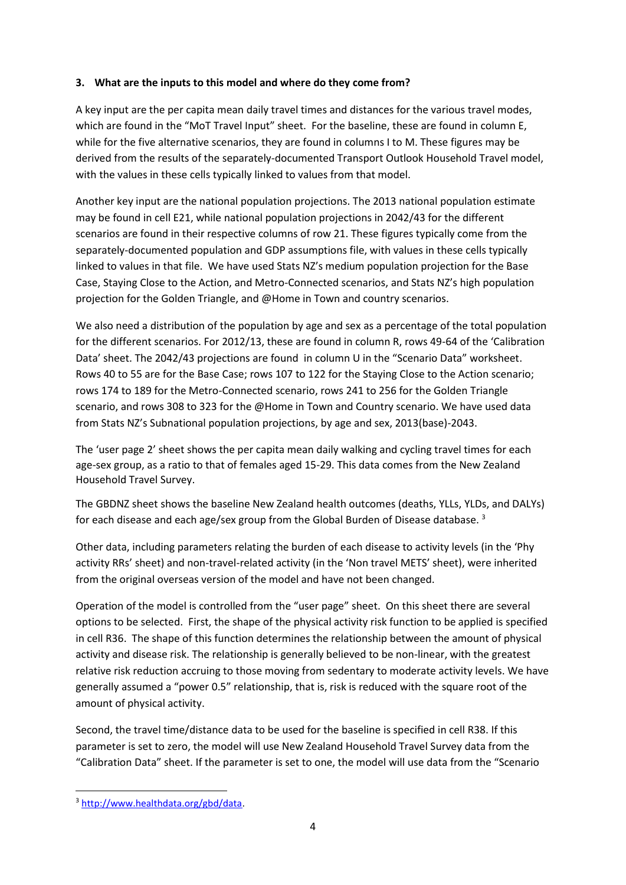# **3. What are the inputs to this model and where do they come from?**

A key input are the per capita mean daily travel times and distances for the various travel modes, which are found in the "MoT Travel Input" sheet. For the baseline, these are found in column E, while for the five alternative scenarios, they are found in columns I to M. These figures may be derived from the results of the separately-documented Transport Outlook Household Travel model, with the values in these cells typically linked to values from that model.

Another key input are the national population projections. The 2013 national population estimate may be found in cell E21, while national population projections in 2042/43 for the different scenarios are found in their respective columns of row 21. These figures typically come from the separately-documented population and GDP assumptions file, with values in these cells typically linked to values in that file. We have used Stats NZ's medium population projection for the Base Case, Staying Close to the Action, and Metro-Connected scenarios, and Stats NZ's high population projection for the Golden Triangle, and @Home in Town and country scenarios.

We also need a distribution of the population by age and sex as a percentage of the total population for the different scenarios. For 2012/13, these are found in column R, rows 49-64 of the 'Calibration Data' sheet. The 2042/43 projections are found in column U in the "Scenario Data" worksheet. Rows 40 to 55 are for the Base Case; rows 107 to 122 for the Staying Close to the Action scenario; rows 174 to 189 for the Metro-Connected scenario, rows 241 to 256 for the Golden Triangle scenario, and rows 308 to 323 for the @Home in Town and Country scenario. We have used data from Stats NZ's Subnational population projections, by age and sex, 2013(base)-2043.

The 'user page 2' sheet shows the per capita mean daily walking and cycling travel times for each age-sex group, as a ratio to that of females aged 15-29. This data comes from the New Zealand Household Travel Survey.

The GBDNZ sheet shows the baseline New Zealand health outcomes (deaths, YLLs, YLDs, and DALYs) for each disease and each age/sex group from the Global Burden of Disease database.<sup>3</sup>

Other data, including parameters relating the burden of each disease to activity levels (in the 'Phy activity RRs' sheet) and non-travel-related activity (in the 'Non travel METS' sheet), were inherited from the original overseas version of the model and have not been changed.

Operation of the model is controlled from the "user page" sheet. On this sheet there are several options to be selected. First, the shape of the physical activity risk function to be applied is specified in cell R36. The shape of this function determines the relationship between the amount of physical activity and disease risk. The relationship is generally believed to be non-linear, with the greatest relative risk reduction accruing to those moving from sedentary to moderate activity levels. We have generally assumed a "power 0.5" relationship, that is, risk is reduced with the square root of the amount of physical activity.

Second, the travel time/distance data to be used for the baseline is specified in cell R38. If this parameter is set to zero, the model will use New Zealand Household Travel Survey data from the "Calibration Data" sheet. If the parameter is set to one, the model will use data from the "Scenario

**.** 

<sup>3</sup> [http://www.healthdata.org/gbd/data.](http://www.healthdata.org/gbd/data)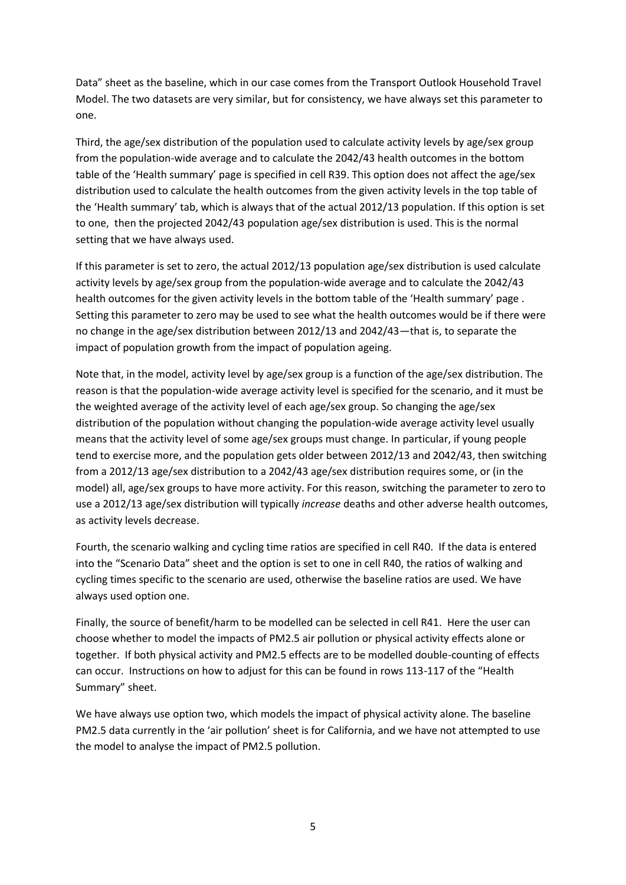Data" sheet as the baseline, which in our case comes from the Transport Outlook Household Travel Model. The two datasets are very similar, but for consistency, we have always set this parameter to one.

Third, the age/sex distribution of the population used to calculate activity levels by age/sex group from the population-wide average and to calculate the 2042/43 health outcomes in the bottom table of the 'Health summary' page is specified in cell R39. This option does not affect the age/sex distribution used to calculate the health outcomes from the given activity levels in the top table of the 'Health summary' tab, which is always that of the actual 2012/13 population. If this option is set to one, then the projected 2042/43 population age/sex distribution is used. This is the normal setting that we have always used.

If this parameter is set to zero, the actual 2012/13 population age/sex distribution is used calculate activity levels by age/sex group from the population-wide average and to calculate the 2042/43 health outcomes for the given activity levels in the bottom table of the 'Health summary' page . Setting this parameter to zero may be used to see what the health outcomes would be if there were no change in the age/sex distribution between 2012/13 and 2042/43—that is, to separate the impact of population growth from the impact of population ageing.

Note that, in the model, activity level by age/sex group is a function of the age/sex distribution. The reason is that the population-wide average activity level is specified for the scenario, and it must be the weighted average of the activity level of each age/sex group. So changing the age/sex distribution of the population without changing the population-wide average activity level usually means that the activity level of some age/sex groups must change. In particular, if young people tend to exercise more, and the population gets older between 2012/13 and 2042/43, then switching from a 2012/13 age/sex distribution to a 2042/43 age/sex distribution requires some, or (in the model) all, age/sex groups to have more activity. For this reason, switching the parameter to zero to use a 2012/13 age/sex distribution will typically *increase* deaths and other adverse health outcomes, as activity levels decrease.

Fourth, the scenario walking and cycling time ratios are specified in cell R40. If the data is entered into the "Scenario Data" sheet and the option is set to one in cell R40, the ratios of walking and cycling times specific to the scenario are used, otherwise the baseline ratios are used. We have always used option one.

Finally, the source of benefit/harm to be modelled can be selected in cell R41. Here the user can choose whether to model the impacts of PM2.5 air pollution or physical activity effects alone or together. If both physical activity and PM2.5 effects are to be modelled double-counting of effects can occur. Instructions on how to adjust for this can be found in rows 113-117 of the "Health Summary" sheet.

We have always use option two, which models the impact of physical activity alone. The baseline PM2.5 data currently in the 'air pollution' sheet is for California, and we have not attempted to use the model to analyse the impact of PM2.5 pollution.